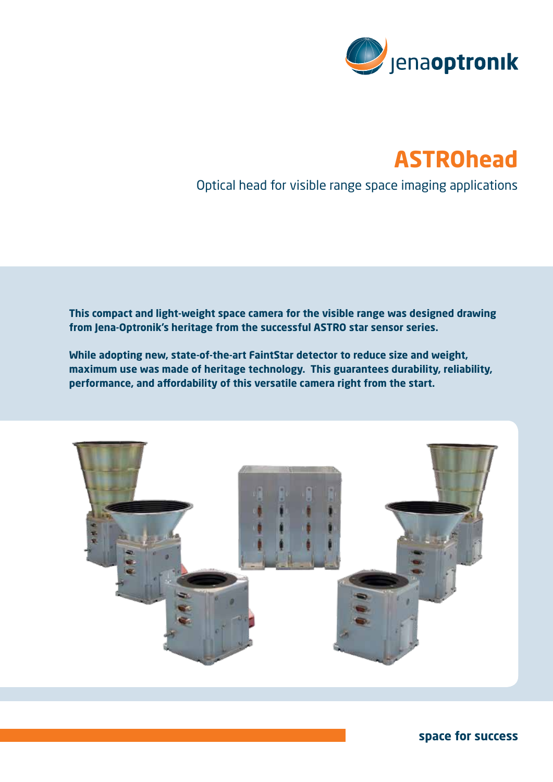

# **ASTROhead**

Optical head for visible range space imaging applications

**This compact and light-weight space camera for the visible range was designed drawing from Jena-Optronik's heritage from the successful ASTRO star sensor series.** 

**While adopting new, state-of-the-art FaintStar detector to reduce size and weight, maximum use was made of heritage technology. This guarantees durability, reliability, performance, and affordability of this versatile camera right from the start.**



**space for success**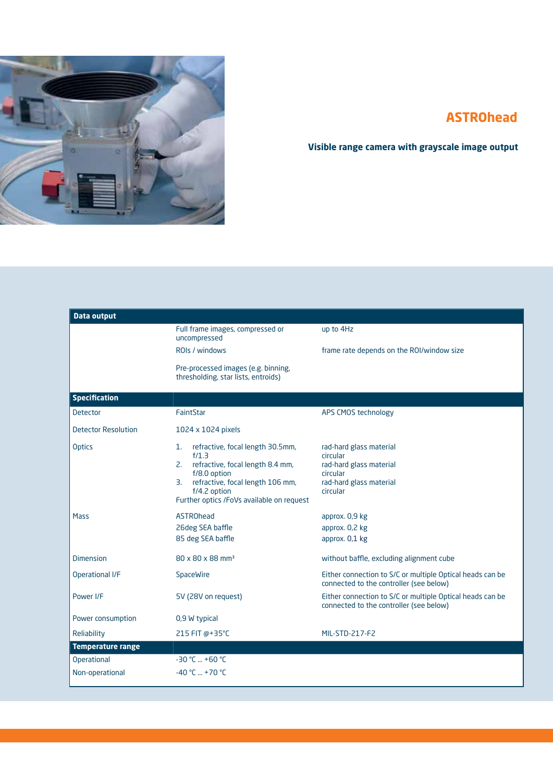

### **ASTROhead**

### **Visible range camera with grayscale image output**

| <b>Data output</b>         |                                                                                                                                                                                                               |                                                                                                                   |
|----------------------------|---------------------------------------------------------------------------------------------------------------------------------------------------------------------------------------------------------------|-------------------------------------------------------------------------------------------------------------------|
|                            | Full frame images, compressed or<br>uncompressed                                                                                                                                                              | up to 4Hz                                                                                                         |
|                            | ROIs / windows                                                                                                                                                                                                | frame rate depends on the ROI/window size                                                                         |
|                            | Pre-processed images (e.g. binning,<br>thresholding, star lists, entroids)                                                                                                                                    |                                                                                                                   |
| <b>Specification</b>       |                                                                                                                                                                                                               |                                                                                                                   |
| <b>Detector</b>            | FaintStar                                                                                                                                                                                                     | APS CMOS technology                                                                                               |
| <b>Detector Resolution</b> | 1024 x 1024 pixels                                                                                                                                                                                            |                                                                                                                   |
| <b>Optics</b>              | refractive, focal length 30.5mm,<br>1.<br>f/1.3<br>2. refractive, focal length 8.4 mm,<br>f/8.0 option<br>refractive, focal length 106 mm,<br>3.<br>f/4.2 option<br>Further optics /FoVs available on request | rad-hard glass material<br>circular<br>rad-hard glass material<br>circular<br>rad-hard glass material<br>circular |
| Mass                       | <b>ASTROhead</b><br>26deg SEA baffle<br>85 deg SEA baffle                                                                                                                                                     | approx. 0,9 kg<br>approx. 0,2 kg<br>approx. 0,1 kg                                                                |
| <b>Dimension</b>           | 80 x 80 x 88 mm <sup>3</sup>                                                                                                                                                                                  | without baffle, excluding alignment cube                                                                          |
| Operational I/F            | SpaceWire                                                                                                                                                                                                     | Either connection to S/C or multiple Optical heads can be<br>connected to the controller (see below)              |
| Power I/F                  | 5V (28V on request)                                                                                                                                                                                           | Either connection to S/C or multiple Optical heads can be<br>connected to the controller (see below)              |
| Power consumption          | 0,9 W typical                                                                                                                                                                                                 |                                                                                                                   |
| Reliability                | 215 FIT @+35°C                                                                                                                                                                                                | MIL-STD-217-F2                                                                                                    |
| <b>Temperature range</b>   |                                                                                                                                                                                                               |                                                                                                                   |
| <b>Operational</b>         | $-30$ °C  +60 °C                                                                                                                                                                                              |                                                                                                                   |
| Non-operational            | $-40 °C  +70 °C$                                                                                                                                                                                              |                                                                                                                   |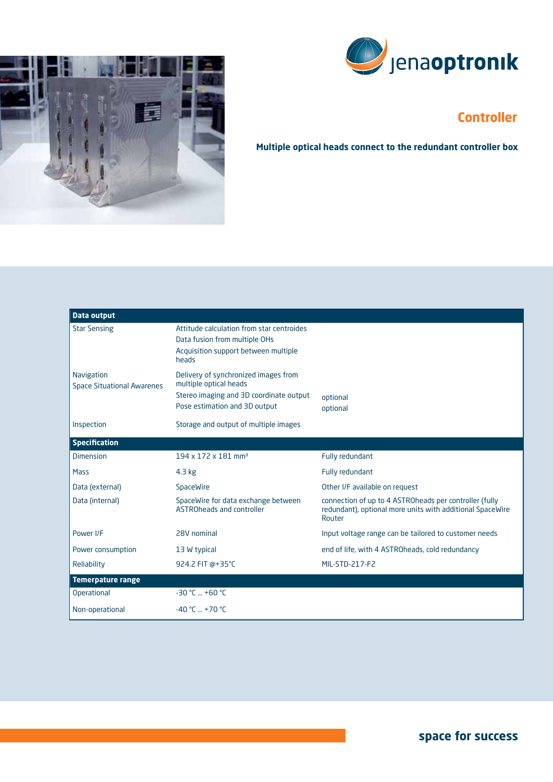



## **Controller**

**Multiple optical heads connect to the redundant controller box**

| <b>Data output</b>                                     |                                                                                                                                            |                                                                                                                               |
|--------------------------------------------------------|--------------------------------------------------------------------------------------------------------------------------------------------|-------------------------------------------------------------------------------------------------------------------------------|
| <b>Star Sensing</b>                                    | Attitude calculation from star centroides<br>Data fusion from multiple OHs<br>Acquisition support between multiple<br>heads                |                                                                                                                               |
| <b>Navigation</b><br><b>Space Situational Awarenes</b> | Delivery of synchronized images from<br>multiple optical heads<br>Stereo imaging and 3D coordinate output<br>Pose estimation and 3D output | optional<br>optional                                                                                                          |
| Inspection                                             | Storage and output of multiple images                                                                                                      |                                                                                                                               |
| <b>Specification</b>                                   |                                                                                                                                            |                                                                                                                               |
| <b>Dimension</b>                                       | 194 x 172 x 181 mm <sup>3</sup>                                                                                                            | Fully redundant                                                                                                               |
| Mass                                                   | $4.3$ kg                                                                                                                                   | Fully redundant                                                                                                               |
| Data (external)                                        | SpaceWire                                                                                                                                  | Other I/F available on request                                                                                                |
| Data (internal)                                        | SpaceWire for data exchange between<br>ASTROheads and controller                                                                           | connection of up to 4 ASTROheads per controller (fully<br>redundant), optional more units with additional SpaceWire<br>Router |
| Power I/F                                              | 28V nominal                                                                                                                                | Input voltage range can be tailored to customer needs                                                                         |
| Power consumption                                      | 13 W typical                                                                                                                               | end of life, with 4 ASTROheads, cold redundancy                                                                               |
| Reliability                                            | 924.2 FIT @+35°C                                                                                                                           | MIL-STD-217-F2                                                                                                                |
| <b>Temerpature range</b>                               |                                                                                                                                            |                                                                                                                               |
| <b>Operational</b>                                     | $-30$ °C  +60 °C                                                                                                                           |                                                                                                                               |
| Non-operational                                        | $-40 °C  +70 °C$                                                                                                                           |                                                                                                                               |

**space for success**